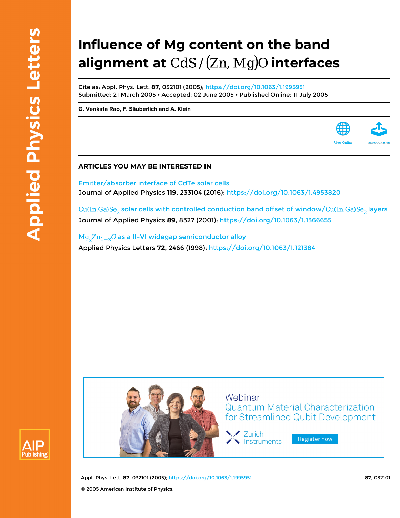## **Influence of Mg content on the band alignment at CdS/(Zn, Mg)O interfaces**

Cite as: Appl. Phys. Lett. **87**, 032101 (2005); <https://doi.org/10.1063/1.1995951> Submitted: 21 March 2005 • Accepted: 02 June 2005 • Published Online: 11 July 2005

**[G. Venkata Rao](https://aip.scitation.org/author/Rao%2C+G+Venkata), [F. Säuberlich](https://aip.scitation.org/author/S%C3%A4uberlich%2C+F) and [A. Klein](https://aip.scitation.org/author/Klein%2C+A)**

## **ARTICLES YOU MAY BE INTERESTED IN**

[Emitter/absorber interface of CdTe solar cells](https://aip.scitation.org/doi/10.1063/1.4953820) Journal of Applied Physics **119**, 233104 (2016);<https://doi.org/10.1063/1.4953820>

Cu(In, Ga)Se<sub>2</sub> solar cells with controlled conduction band offset of window/ Cu(In, Ga)Se<sub>2</sub> layers Journal of Applied Physics **89**, 8327 (2001); <https://doi.org/10.1063/1.1366655>

 $Mg_{\nu}Zn_{1-x}O$  as a II-VI widegap semiconductor alloy Applied Physics Letters **72**, 2466 (1998); <https://doi.org/10.1063/1.121384>



Appl. Phys. Lett. **87**, 032101 (2005);<https://doi.org/10.1063/1.1995951> **87**, 032101 © 2005 American Institute of Physics.



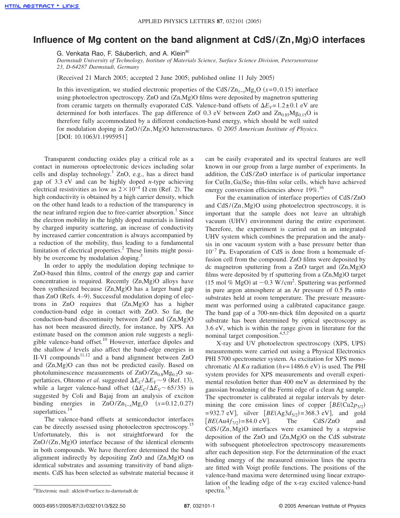## **Influence of Mg content on the band alignment at CdS/**"**Zn,Mg**…**O interfaces**

G. Venkata Rao, F. Säuberlich, and A. Klein<sup>a)</sup>

*Darmstadt University of Technology, Institute of Materials Science, Surface Science Division, Petersenstrasse 23, D-64287 Darmstadt, Germany*

(Received 21 March 2005; accepted 2 June 2005; published online 11 July 2005)

In this investigation, we studied electronic properties of the CdS/Zn<sub>1-*x*</sub>Mg<sub>*x*</sub>O ( $x=0,0.15$ ) interface using photoelectron spectroscopy. ZnO and (Zn,Mg)O films were deposited by magnetron sputtering from ceramic targets on thermally evaporated CdS. Valence-band offsets of  $\Delta E_V=1.2\pm0.1$  eV are determined for both interfaces. The gap difference of 0.3 eV between ZnO and  $Zn_{0.85}Mg_{0.15}O$  is therefore fully accommodated by a different conduction-band energy, which should be well suited for modulation doping in ZnO/(Zn, Mg)O heterostructures. © 2005 American Institute of Physics. [DOI: 10.1063/1.1995951]

Transparent conducting oxides play a critical role as a contact in numerous optoelectronic devices including solar cells and display technology.<sup>1</sup> ZnO, e.g., has a direct band gap of 3.3 eV and can be highly doped *n*-type achieving electrical resistivities as low as  $2 \times 10^{-4} \Omega$  cm (Ref. 2). The high conductivity is obtained by a high carrier density, which on the other hand leads to a reduction of the transparency in the near infrared region due to free-carrier absorption.<sup>1</sup> Since the electron mobility in the highly doped materials is limited by charged impurity scattering, an increase of conductivity by increased carrier concentration is always accompanied by a reduction of the mobility, thus leading to a fundamental limitation of electrical properties. ${}^{2}$  These limits might possibly be overcome by modulation doping.<sup>3</sup>

In order to apply the modulation doping technique to ZnO-based thin films, control of the energy gap and carrier concentration is required. Recently (Zn,Mg)O alloys have been synthesized because (Zn,Mg)O has a larger band gap than ZnO (Refs. 4-9). Successful modulation doping of electrons in ZnO requires that  $(Zn, Mg)O$  has a higher conduction-band edge in contact with ZnO. So far, the conduction-band discontinuity between ZnO and (Zn,Mg)O has not been measured directly, for instance, by XPS. An estimate based on the common anion rule suggests a negligible valence-band offset.<sup>10</sup> However, interface dipoles and the shallow *d* levels also affect the band-edge energies in II-VI compounds $11,12$  and a band alignment between ZnO and (Zn,Mg)O can thus not be predicted easily. Based on photoluminescence measurements of  $ZnO/Zn_{0.8}Mg_{0.2}O$  superlattices, Ohtomo *et al.* suggested  $\Delta E_C / \Delta E_V$  ~ 9 (Ref. 13), while a larger valence-band offset  $(\Delta E_C/\Delta E_V \sim 65/35)$  is suggested by Coli and Bajaj from an analysis of exciton binding energies in  $ZnO/Zn_{1-x}Mg_xO$   $(x=0.12,0.27)$ superlattices.<sup>14</sup>

The valence-band offsets at semiconductor interfaces can be directly assessed using photoelectron spectroscopy.<sup>15</sup> Unfortunately, this is not straightforward for the ZnO/(Zn, Mg)O interface because of the identical elements in both compounds. We have therefore determined the band alignment indirectly by depositing ZnO and (Zn,Mg)O on identical substrates and assuming transitivity of band alignments. CdS has been selected as substrate material because it can be easily evaporated and its spectral features are well known in our group from a large number of experiments. In addition, the CdS/ZnO interface is of particular importance for  $Cu(In, Ga)Se<sub>2</sub>$  thin-film solar cells, which have achieved energy conversion efficiencies above 19%.<sup>16</sup>

For the examination of interface properties of CdS/ZnO and CdS/(Zn,Mg)O using photoelectron spectroscopy, it is important that the sample does not leave an ultrahigh vacuum (UHV) environment during the entire experiment. Therefore, the experiment is carried out in an integrated UHV system which combines the preparation and the analysis in one vacuum system with a base pressure better than 10−7 Pa. Evaporation of CdS is done from a homemade effusion cell from the compound. ZnO films were deposited by dc magnetron sputtering from a ZnO target and (Zn,Mg)O films were deposited by rf sputtering from a (Zn,Mg)O target (15 mol % MgO) at  $\sim$  0.3 W/cm<sup>2</sup>. Sputtering was performed in pure argon atmosphere at an Ar pressure of 0.5 Pa onto substrates held at room temperature. The pressure measurement was performed using a calibrated capacitance gauge. The band gap of a 700-nm-thick film deposited on a quartz substrate has been determined by optical spectroscopy as 3.6 eV, which is within the range given in literature for the nominal target composition.<sup>4,5,7</sup>

X-ray and UV photoelectron spectroscopy (XPS, UPS) measurements were carried out using a Physical Electronics PHI 5700 spectrometer system. As excitation for XPS monochromatic Al  $K\alpha$  radiation ( $h\nu$ =1486.6 eV) is used. The PHI system provides for XPS measurements and overall experimental resolution better than 400 meV as determined by the gaussian broadening of the Fermi edge of a clean Ag sample. The spectrometer is calibrated at regular intervals by determining the core emission lines of copper  $\left[ BE(\text{Cu2p}_{3/2}) \right]$  $=932.7 \text{ eV}$ , silver  $[BE(Ag3d_{5/2})=368.3 \text{ eV}]$ , and gold  $[BE(Au4f_{7/2})=84.0 \text{ eV}].$  The CdS/ZnO and CdS/(Zn,Mg)O interfaces were examined by a stepwise deposition of the ZnO and (Zn,Mg)O on the CdS substrate with subsequent photoelectron spectroscopy measurements after each deposition step. For the determination of the exact binding energy of the measured emission lines the spectra are fitted with Voigt profile functions. The positions of the valence-band maxima were determined using linear extrapolation of the leading edge of the x-ray excited valence-band spectra.<sup>15</sup>

0003-6951/2005/87(3)/032101/3/\$22.50

spectra. <sup>a</sup>- <sup>15</sup> Electronic mail: aklein@surface.tu-darmstadt.de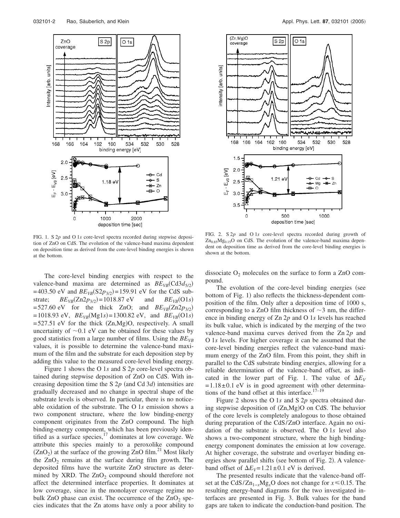

FIG. 1. S 2*p* and O 1*s* core-level spectra recorded during stepwise deposition of ZnO on CdS. The evolution of the valence-band maxima dependent on deposition time as derived from the core-level binding energies is shown at the bottom.

The core-level binding energies with respect to the valence-band maxima are determined as  $BE_{VB}$  (Cd3 $d_{5/2}$ )  $=403.50$  eV and  $BE_{VB}(S2p_{3/2}) = 159.91$  eV for the CdS substrate;  $BE_{VB}(Zn2p_{3/2}) = 1018.87$  eV and  $BE_{VB}(O1s)$  $BE_{VB}(O1s)$  $=$  527.60 eV for the thick ZnO; and  $BE_{VB}$ (Zn2 $p_{3/2}$ )  $=1018.93$  eV,  $BE_{VB}(Mg1s) = 1300.82$  eV, and  $BE_{VB}(O1s)$  $=$  527.51 eV for the thick  $(Zn, Mg)O$ , respectively. A small uncertainty of  $\sim 0.1$  eV can be obtained for these values by good statistics from a large number of films. Using the  $BE_{VB}$ values, it is possible to determine the valence-band maximum of the film and the substrate for each deposition step by adding this value to the measured core-level binding energy.

Figure 1 shows the O 1*s* and S 2*p* core-level spectra obtained during stepwise deposition of ZnO on CdS. With increasing deposition time the S  $2p$  (and Cd  $3d$ ) intensities are gradually decreased and no change in spectral shape of the substrate levels is observed. In particular, there is no noticeable oxidation of the substrate. The O 1*s* emission shows a two component structure, where the low binding-energy component originates from the ZnO compound. The high binding-energy component, which has been previously identified as a surface species, $17$  dominates at low coverage. We attribute this species mainly to a peroxolike compound  $(ZnO<sub>2</sub>)$  at the surface of the growing  $ZnO$  film.<sup>21</sup> Most likely the  $ZnO<sub>2</sub>$  remains at the surface during film growth. The deposited films have the wurtzite ZnO structure as determined by XRD. The  $ZnO<sub>2</sub>$  compound should therefore not affect the determined interface properties. It dominates at low coverage, since in the monolayer coverage regime no bulk ZnO phase can exist. The occurrence of the  $ZnO<sub>2</sub>$  species indicates that the Zn atoms have only a poor ability to



FIG. 2. S 2*p* and O 1*s* core-level spectra recorded during growth of  $Zn_{0.85}Mg_{0.15}O$  on CdS. The evolution of the valence-band maxima dependent on deposition time as derived from the core-level binding energies is shown at the bottom.

dissociate  $O_2$  molecules on the surface to form a ZnO compound.

The evolution of the core-level binding energies (see bottom of Fig. 1) also reflects the thickness-dependent composition of the film. Only after a deposition time of 1000 s, corresponding to a ZnO film thickness of  $\sim$ 3 nm, the difference in binding energy of Zn 2*p* and O 1*s* levels has reached its bulk value, which is indicated by the merging of the two valence-band maxima curves derived from the Zn 2*p* and O 1*s* levels. For higher coverage it can be assumed that the core-level binding energies reflect the valence-band maximum energy of the ZnO film. From this point, they shift in parallel to the CdS substrate binding energies, allowing for a reliable determination of the valence-band offset, as indicated in the lower part of Fig. 1. The value of  $\Delta E_V$  $=1.18\pm0.1$  eV is in good agreement with other determinations of the band offset at this interface. $17-19$ 

Figure 2 shows the O 1*s* and S 2*p* spectra obtained during stepwise deposition of (Zn,Mg)O on CdS. The behavior of the core levels is completely analogous to those obtained during preparation of the CdS/ZnO interface. Again no oxidation of the substrate is observed. The O 1*s* level also shows a two-component structure, where the high bindingenergy component dominates the emission at low coverage. At higher coverage, the substrate and overlayer binding energies show parallel shifts (see bottom of Fig. 2). A valenceband offset of  $\Delta E_V = 1.21 \pm 0.1$  eV is derived.

The presented results indicate that the valence-band offset at the CdS/Zn<sub>1−*x*</sub>Mg<sub>*x*</sub>O does not change for  $x \le 0.15$ . The resulting energy-band diagrams for the two investigated interfaces are presented in Fig. 3. Bulk values for the band gaps are taken to indicate the conduction-band position. The